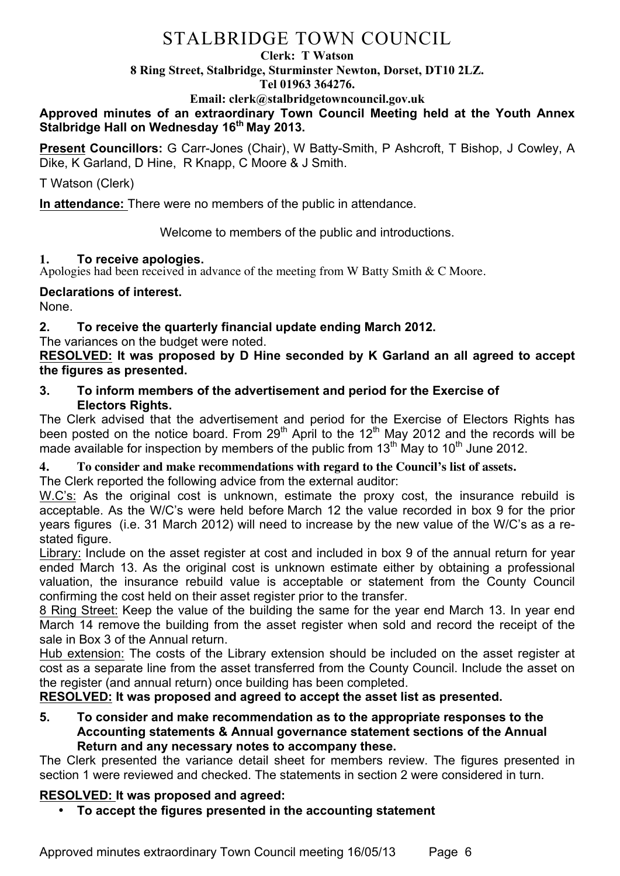# STALBRIDGE TOWN COUNCIL

#### **Clerk: T Watson**

**8 Ring Street, Stalbridge, Sturminster Newton, Dorset, DT10 2LZ.**

**Tel 01963 364276.** 

**Email: clerk@stalbridgetowncouncil.gov.uk**

**Approved minutes of an extraordinary Town Council Meeting held at the Youth Annex Stalbridge Hall on Wednesday 16th May 2013.**

**Present Councillors:** G Carr-Jones (Chair), W Batty-Smith, P Ashcroft, T Bishop, J Cowley, A Dike, K Garland, D Hine, R Knapp, C Moore & J Smith.

T Watson (Clerk)

**In attendance:** There were no members of the public in attendance.

Welcome to members of the public and introductions.

**1. To receive apologies.** Apologies **had been received in advance of the meeting from W Batty Smith & C Moore.** 

## **Declarations of interest.**

None.

# **2. To receive the quarterly financial update ending March 2012.**

The variances on the budget were noted.

### **RESOLVED: It was proposed by D Hine seconded by K Garland an all agreed to accept the figures as presented.**

**3. To inform members of the advertisement and period for the Exercise of Electors Rights.**

The Clerk advised that the advertisement and period for the Exercise of Electors Rights has been posted on the notice board. From  $29<sup>th</sup>$  April to the 12<sup>th</sup> May 2012 and the records will be made available for inspection by members of the public from  $13<sup>th</sup>$  May to  $10<sup>th</sup>$  June 2012.

# **4. To consider and make recommendations with regard to the Council's list of assets.**

The Clerk reported the following advice from the external auditor:

W.C's: As the original cost is unknown, estimate the proxy cost, the insurance rebuild is acceptable. As the W/C's were held before March 12 the value recorded in box 9 for the prior years figures (i.e. 31 March 2012) will need to increase by the new value of the W/C's as a restated figure.

Library: Include on the asset register at cost and included in box 9 of the annual return for year ended March 13. As the original cost is unknown estimate either by obtaining a professional valuation, the insurance rebuild value is acceptable or statement from the County Council confirming the cost held on their asset register prior to the transfer.

8 Ring Street: Keep the value of the building the same for the year end March 13. In year end March 14 remove the building from the asset register when sold and record the receipt of the sale in Box 3 of the Annual return.

Hub extension: The costs of the Library extension should be included on the asset register at cost as a separate line from the asset transferred from the County Council. Include the asset on the register (and annual return) once building has been completed.

**RESOLVED: It was proposed and agreed to accept the asset list as presented.**

**5. To consider and make recommendation as to the appropriate responses to the Accounting statements & Annual governance statement sections of the Annual Return and any necessary notes to accompany these.**

The Clerk presented the variance detail sheet for members review. The figures presented in section 1 were reviewed and checked. The statements in section 2 were considered in turn.

# **RESOLVED: It was proposed and agreed:**

• **To accept the figures presented in the accounting statement**